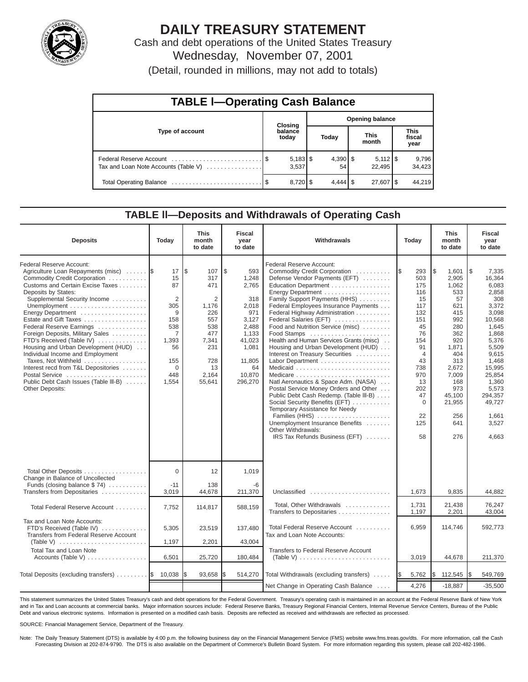

# **DAILY TREASURY STATEMENT**

Cash and debt operations of the United States Treasury Wednesday, November 07, 2001

| (Detail, rounded in millions, may not add to totals) |  |  |  |  |
|------------------------------------------------------|--|--|--|--|
|------------------------------------------------------|--|--|--|--|

| <b>TABLE I-Operating Cash Balance</b> |  |                     |                 |                    |                      |                         |                               |                 |  |  |
|---------------------------------------|--|---------------------|-----------------|--------------------|----------------------|-------------------------|-------------------------------|-----------------|--|--|
|                                       |  | <b>Closing</b>      | Opening balance |                    |                      |                         |                               |                 |  |  |
| Type of account                       |  | balance<br>today    | Today           |                    | <b>This</b><br>month |                         | <b>This</b><br>fiscal<br>year |                 |  |  |
| Tax and Loan Note Accounts (Table V)  |  | $5,183$ \$<br>3.537 |                 | 54                 |                      | $5,112$ \ $$$<br>22.495 |                               | 9,796<br>34,423 |  |  |
|                                       |  |                     |                 | $4.444$ $\sqrt{5}$ |                      | 27.607   \$             |                               | 44,219          |  |  |

# **TABLE ll—Deposits and Withdrawals of Operating Cash**

| <b>Deposits</b>                                                                                                                                                                                                                                                                                                                                                                                                                                                                                                                                                 | Today                                                                                                             | <b>This</b><br>month<br>to date                                                                                    | <b>Fiscal</b><br>year<br>to date                                                                                                      | Withdrawals                                                                                                                                                                                                                                                                                                                                                                                                                                                                                                                                                                                                                                                                                                                                                      | Today                                                                                                                                                                             | <b>This</b><br>month<br>to date                                                                                                                                                       | Fiscal<br>year<br>to date                                                                                                                                                                                                    |
|-----------------------------------------------------------------------------------------------------------------------------------------------------------------------------------------------------------------------------------------------------------------------------------------------------------------------------------------------------------------------------------------------------------------------------------------------------------------------------------------------------------------------------------------------------------------|-------------------------------------------------------------------------------------------------------------------|--------------------------------------------------------------------------------------------------------------------|---------------------------------------------------------------------------------------------------------------------------------------|------------------------------------------------------------------------------------------------------------------------------------------------------------------------------------------------------------------------------------------------------------------------------------------------------------------------------------------------------------------------------------------------------------------------------------------------------------------------------------------------------------------------------------------------------------------------------------------------------------------------------------------------------------------------------------------------------------------------------------------------------------------|-----------------------------------------------------------------------------------------------------------------------------------------------------------------------------------|---------------------------------------------------------------------------------------------------------------------------------------------------------------------------------------|------------------------------------------------------------------------------------------------------------------------------------------------------------------------------------------------------------------------------|
| Federal Reserve Account:<br>Agriculture Loan Repayments (misc)  \$<br>Commodity Credit Corporation<br>Customs and Certain Excise Taxes<br>Deposits by States:<br>Supplemental Security Income<br>Energy Department<br>Estate and Gift Taxes<br>Federal Reserve Earnings<br>Foreign Deposits, Military Sales<br>FTD's Received (Table IV)<br>Housing and Urban Development (HUD)<br>Individual Income and Employment<br>Taxes, Not Withheld<br>Interest recd from T&L Depositories<br>Postal Service<br>Public Debt Cash Issues (Table III-B)<br>Other Deposits: | 17<br>15<br>87<br>$\overline{2}$<br>305<br>9<br>158<br>538<br>7<br>1,393<br>56<br>155<br>$\Omega$<br>448<br>1,554 | l\$<br>107<br>317<br>471<br>2<br>1,176<br>226<br>557<br>538<br>477<br>7,341<br>231<br>728<br>13<br>2,164<br>55,641 | \$<br>593<br>1,248<br>2,765<br>318<br>2,018<br>971<br>3.127<br>2,488<br>1,133<br>41,023<br>1,081<br>11,805<br>64<br>10,870<br>296,270 | Federal Reserve Account:<br>Commodity Credit Corporation<br>Defense Vendor Payments (EFT)<br>Education Department<br>Energy Department<br>Family Support Payments (HHS)<br>Federal Employees Insurance Payments<br>Federal Highway Administration<br>Federal Salaries (EFT)<br>Food and Nutrition Service (misc)<br>Food Stamps<br>Health and Human Services Grants (misc)<br>Housing and Urban Development (HUD)<br>Interest on Treasury Securities<br>Natl Aeronautics & Space Adm. (NASA)<br>Postal Service Money Orders and Other<br>Public Debt Cash Redemp. (Table III-B)<br>Social Security Benefits (EFT)<br>Temporary Assistance for Needy<br>Families (HHS)<br>Unemployment Insurance Benefits<br>Other Withdrawals:<br>IRS Tax Refunds Business (EFT) | 293<br><b>IS</b><br>503<br>175<br>116<br>15<br>117<br>132<br>151<br>45<br>76<br>154<br>91<br>$\overline{4}$<br>43<br>738<br>970<br>13<br>202<br>47<br>$\Omega$<br>22<br>125<br>58 | l\$<br>1.601<br>2.905<br>1.062<br>533<br>57<br>621<br>415<br>992<br>280<br>362<br>920<br>1,871<br>404<br>313<br>2,672<br>7,009<br>168<br>973<br>45,100<br>21,955<br>256<br>641<br>276 | <b>S</b><br>7,335<br>16.364<br>6.083<br>2,858<br>308<br>3,372<br>3,098<br>10,568<br>1,645<br>1,868<br>5,376<br>5,509<br>9.615<br>1.468<br>15,995<br>25,854<br>1,360<br>5.573<br>294,357<br>49.727<br>1,661<br>3,527<br>4,663 |
| Total Other Deposits<br>Change in Balance of Uncollected<br>Funds (closing balance \$74)                                                                                                                                                                                                                                                                                                                                                                                                                                                                        | $\Omega$<br>$-11$                                                                                                 | 12<br>138                                                                                                          | 1,019<br>-6                                                                                                                           |                                                                                                                                                                                                                                                                                                                                                                                                                                                                                                                                                                                                                                                                                                                                                                  |                                                                                                                                                                                   |                                                                                                                                                                                       |                                                                                                                                                                                                                              |
| Transfers from Depositaries                                                                                                                                                                                                                                                                                                                                                                                                                                                                                                                                     | 3,019                                                                                                             | 44,678                                                                                                             | 211,370                                                                                                                               | Unclassified                                                                                                                                                                                                                                                                                                                                                                                                                                                                                                                                                                                                                                                                                                                                                     | 1,673                                                                                                                                                                             | 9,835                                                                                                                                                                                 | 44,882                                                                                                                                                                                                                       |
| Total Federal Reserve Account                                                                                                                                                                                                                                                                                                                                                                                                                                                                                                                                   | 7.752                                                                                                             | 114,817                                                                                                            | 588,159                                                                                                                               | Total, Other Withdrawals<br>Transfers to Depositaries                                                                                                                                                                                                                                                                                                                                                                                                                                                                                                                                                                                                                                                                                                            | 1,731<br>1,197                                                                                                                                                                    | 21.438<br>2,201                                                                                                                                                                       | 76.247<br>43.004                                                                                                                                                                                                             |
| Tax and Loan Note Accounts:<br>FTD's Received (Table IV)<br>Transfers from Federal Reserve Account<br>(Table V) $\ldots \ldots \ldots \ldots \ldots \ldots \ldots \ldots$                                                                                                                                                                                                                                                                                                                                                                                       | 5,305<br>1,197                                                                                                    | 23,519<br>2,201                                                                                                    | 137,480<br>43.004                                                                                                                     | Total Federal Reserve Account<br>Tax and Loan Note Accounts:                                                                                                                                                                                                                                                                                                                                                                                                                                                                                                                                                                                                                                                                                                     | 6,959                                                                                                                                                                             | 114,746                                                                                                                                                                               | 592.773                                                                                                                                                                                                                      |
| <b>Total Tax and Loan Note</b><br>Accounts (Table V)                                                                                                                                                                                                                                                                                                                                                                                                                                                                                                            | 6,501                                                                                                             | 25,720                                                                                                             | 180,484                                                                                                                               | Transfers to Federal Reserve Account<br>(Table V) $\ldots \ldots \ldots \ldots \ldots \ldots \ldots \ldots \ldots$                                                                                                                                                                                                                                                                                                                                                                                                                                                                                                                                                                                                                                               | 3,019                                                                                                                                                                             | 44,678                                                                                                                                                                                | 211,370                                                                                                                                                                                                                      |
| Total Deposits (excluding transfers)  \$ 10,038                                                                                                                                                                                                                                                                                                                                                                                                                                                                                                                 |                                                                                                                   | 93,658                                                                                                             | 514,270                                                                                                                               | Total Withdrawals (excluding transfers)                                                                                                                                                                                                                                                                                                                                                                                                                                                                                                                                                                                                                                                                                                                          | 5,762<br>I\$                                                                                                                                                                      | Ι\$<br>112,545                                                                                                                                                                        | 549,769<br>1\$                                                                                                                                                                                                               |
|                                                                                                                                                                                                                                                                                                                                                                                                                                                                                                                                                                 |                                                                                                                   |                                                                                                                    |                                                                                                                                       | Net Change in Operating Cash Balance                                                                                                                                                                                                                                                                                                                                                                                                                                                                                                                                                                                                                                                                                                                             | 4,276                                                                                                                                                                             | $-18,887$                                                                                                                                                                             | $-35,500$                                                                                                                                                                                                                    |

This statement summarizes the United States Treasury's cash and debt operations for the Federal Government. Treasury's operating cash is maintained in an account at the Federal Reserve Bank of New York and in Tax and Loan accounts at commercial banks. Major information sources include: Federal Reserve Banks, Treasury Regional Financial Centers, Internal Revenue Service Centers, Bureau of the Public Debt and various electronic systems. Information is presented on a modified cash basis. Deposits are reflected as received and withdrawals are reflected as processed.

SOURCE: Financial Management Service, Department of the Treasury.

Note: The Daily Treasury Statement (DTS) is available by 4:00 p.m. the following business day on the Financial Management Service (FMS) website www.fms.treas.gov/dts. For more information, call the Cash Forecasting Division at 202-874-9790. The DTS is also available on the Department of Commerce's Bulletin Board System. For more information regarding this system, please call 202-482-1986.